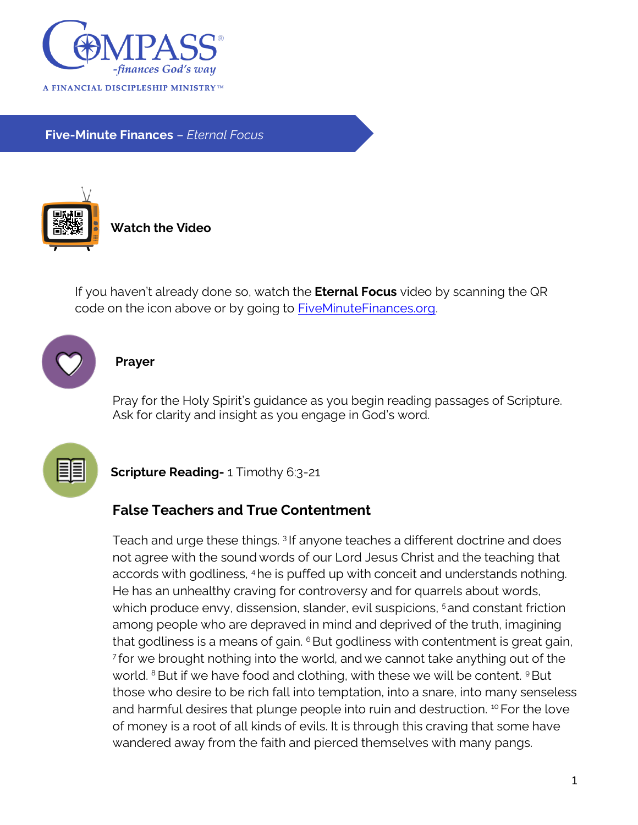

**Five-Minute Finances** – *Eternal Focus*



**Watch the Video**

If you haven't already done so, watch the **Eternal Focus** video by scanning the QR code on the icon above or by going to **FiveMinuteFinances.org**.



## **Prayer**

Pray for the Holy Spirit's guidance as you begin reading passages of Scripture. Ask for clarity and insight as you engage in God's word.



**Scripture Reading-** 1 Timothy 6:3-21

## **False Teachers and True Contentment**

Teach and urge these things. <sup>3</sup> If anyone teaches a different doctrine and does not agree with the sound words of our Lord Jesus Christ and the teaching that accords with godliness, 4he is puffed up with conceit and understands nothing. He has an unhealthy craving for controversy and for quarrels about words, which produce envy, dissension, slander, evil suspicions, <sup>5</sup> and constant friction among people who are depraved in mind and deprived of the truth, imagining that godliness is a means of gain.  $6$  But godliness with contentment is great gain, 7 for we brought nothing into the world, and we cannot take anything out of the world.  $8$  But if we have food and clothing, with these we will be content.  $9$  But those who desire to be rich fall into temptation, into a snare, into many senseless and harmful desires that plunge people into ruin and destruction. <sup>10</sup> For the love of money is a root of all kinds of evils. It is through this craving that some have wandered away from the faith and pierced themselves with many pangs.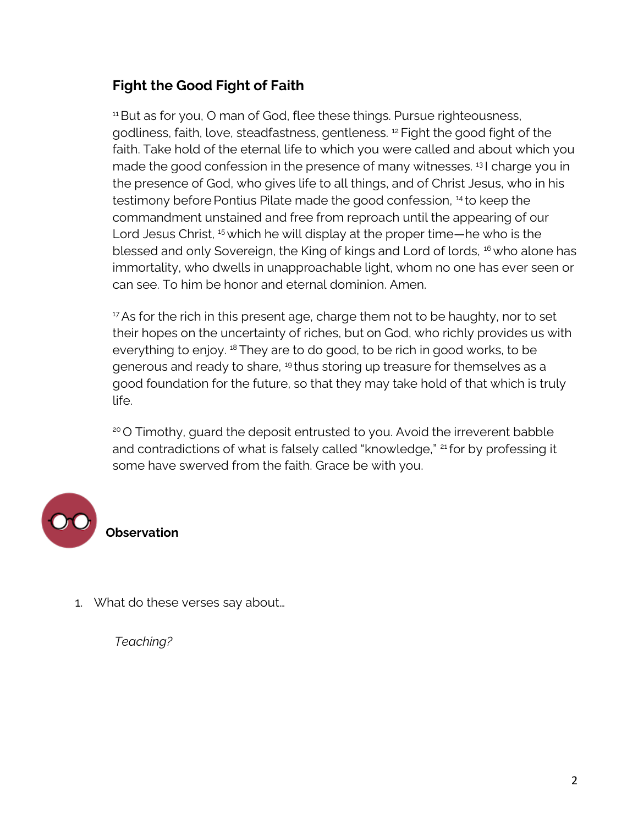## **Fight the Good Fight of Faith**

<sup>11</sup> But as for you, O man of God, flee these things. Pursue righteousness, godliness, faith, love, steadfastness, gentleness. <sup>12</sup> Fight the good fight of the faith. Take hold of the eternal life to which you were called and about which you made the good confession in the presence of many witnesses.<sup>13</sup> I charge you in the presence of God, who gives life to all things, and of Christ Jesus, who in his testimony before Pontius Pilate made the good confession, <sup>14</sup> to keep the commandment unstained and free from reproach until the appearing of our Lord Jesus Christ, <sup>15</sup> which he will display at the proper time—he who is the blessed and only Sovereign, the King of kings and Lord of lords, <sup>16</sup> who alone has immortality, who dwells in unapproachable light, whom no one has ever seen or can see. To him be honor and eternal dominion. Amen.

 $17$  As for the rich in this present age, charge them not to be haughty, nor to set their hopes on the uncertainty of riches, but on God, who richly provides us with everything to enjoy.<sup>18</sup> They are to do good, to be rich in good works, to be generous and ready to share, <sup>19</sup> thus storing up treasure for themselves as a good foundation for the future, so that they may take hold of that which is truly life.

<sup>20</sup> O Timothy, guard the deposit entrusted to you. Avoid the irreverent babble and contradictions of what is falsely called "knowledge," <sup>21</sup> for by professing it some have swerved from the faith. Grace be with you.



**Observation**

1. What do these verses say about…

*Teaching?*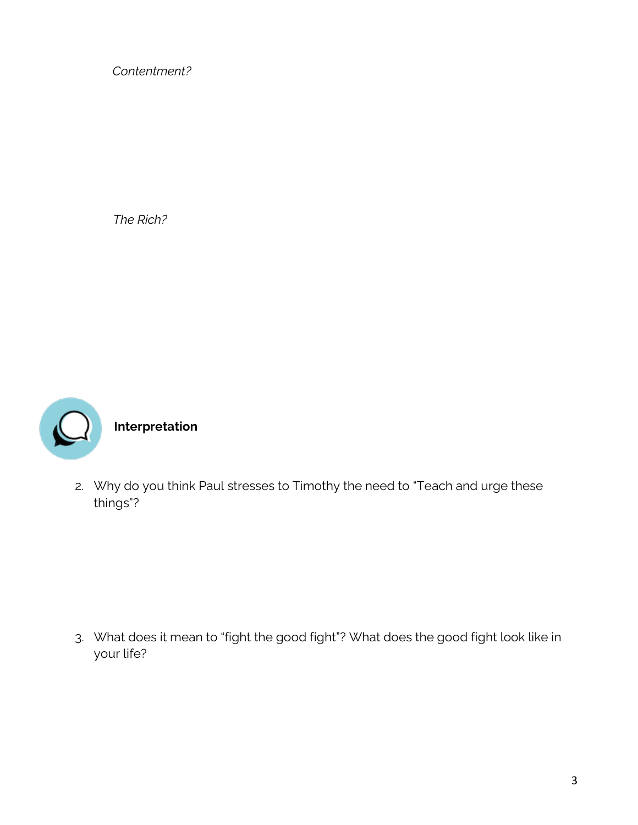*Contentment?* 

*The Rich?* 



**Interpretation**

2. Why do you think Paul stresses to Timothy the need to "Teach and urge these things"?

3. What does it mean to "fight the good fight"? What does the good fight look like in your life?